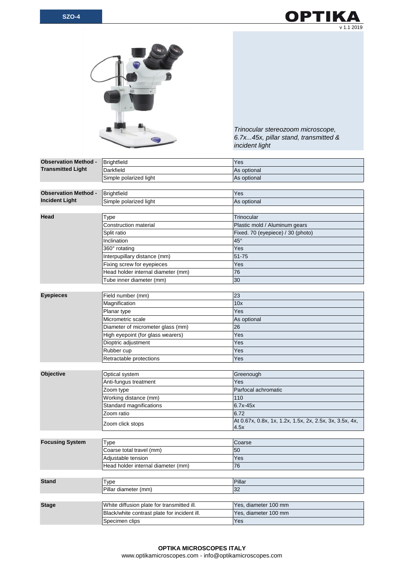



*Trinocular stereozoom microscope, 6.7x...45x, pillar stand, transmitted & incident light*

| <b>Observation Method -</b><br><b>Transmitted Light</b> | <b>Brightfield</b>                           | Yes                                                     |
|---------------------------------------------------------|----------------------------------------------|---------------------------------------------------------|
|                                                         | Darkfield                                    | As optional                                             |
|                                                         | Simple polarized light                       | As optional                                             |
|                                                         |                                              |                                                         |
| <b>Observation Method -</b><br><b>Incident Light</b>    | <b>Brightfield</b>                           | Yes                                                     |
|                                                         | Simple polarized light                       | As optional                                             |
|                                                         |                                              |                                                         |
| <b>Head</b>                                             | Type                                         | Trinocular                                              |
|                                                         | <b>Construction material</b>                 | Plastic mold / Aluminum gears                           |
|                                                         | Split ratio                                  | Fixed. 70 (eyepiece) / 30 (photo)                       |
|                                                         | Inclination                                  | 45°                                                     |
|                                                         | 360° rotating                                | Yes                                                     |
|                                                         | Interpupillary distance (mm)                 | 51-75                                                   |
|                                                         | Fixing screw for eyepieces                   | Yes                                                     |
|                                                         | Head holder internal diameter (mm)           | 76                                                      |
|                                                         | Tube inner diameter (mm)                     | 30                                                      |
|                                                         |                                              |                                                         |
| <b>Eyepieces</b>                                        | Field number (mm)                            | 23                                                      |
|                                                         | Magnification                                | 10x                                                     |
|                                                         | Planar type                                  | Yes                                                     |
|                                                         | Micrometric scale                            | As optional                                             |
|                                                         | Diameter of micrometer glass (mm)            | 26                                                      |
|                                                         | High eyepoint (for glass wearers)            | Yes                                                     |
|                                                         | Dioptric adjustment                          | Yes                                                     |
|                                                         | Rubber cup                                   | Yes                                                     |
|                                                         | Retractable protections                      | Yes                                                     |
|                                                         |                                              |                                                         |
| Objective                                               | Optical system                               | Greenough                                               |
|                                                         | Anti-fungus treatment                        | Yes                                                     |
|                                                         | Zoom type                                    | Parfocal achromatic                                     |
|                                                         | Working distance (mm)                        | 110                                                     |
|                                                         | Standard magnifications                      | $6.7x-45x$                                              |
|                                                         | Zoom ratio                                   | 6.72                                                    |
|                                                         |                                              | At 0.67x, 0.8x, 1x, 1.2x, 1.5x, 2x, 2.5x, 3x, 3.5x, 4x, |
|                                                         | Zoom click stops                             | 4.5x                                                    |
|                                                         |                                              |                                                         |
| <b>Focusing System</b>                                  | Type                                         | Coarse                                                  |
|                                                         | Coarse total travel (mm)                     | 50                                                      |
|                                                         | Adjustable tension                           | <b>Yes</b>                                              |
|                                                         | Head holder internal diameter (mm)           | 76                                                      |
|                                                         |                                              |                                                         |
| <b>Stand</b>                                            | Type                                         | Pillar                                                  |
|                                                         | Pillar diameter (mm)                         | 32                                                      |
|                                                         |                                              |                                                         |
| <b>Stage</b>                                            | White diffusion plate for transmitted ill.   | Yes, diameter 100 mm                                    |
|                                                         | Black/white contrast plate for incident ill. | Yes, diameter 100 mm                                    |
|                                                         | Specimen clips                               | Yes                                                     |